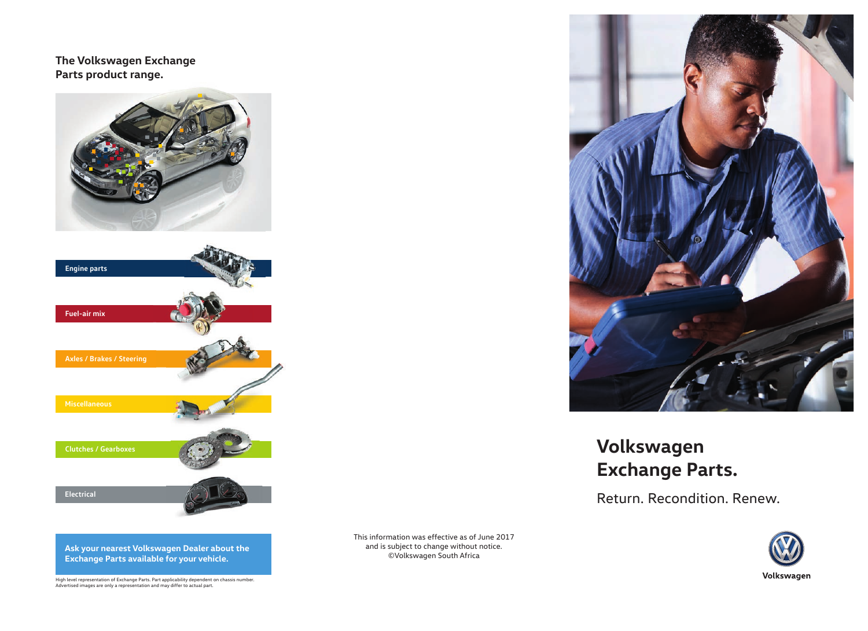**The Volkswagen Exchange Parts product range.**





**Ask your nearest Volkswagen Dealer about the Exchange Parts available for your vehicle.**

High level representation of Exchange Parts. Part applicability dependent on chassis number. Advertised images are only a representation and may differ to actual part.

This information was effective as of June 2017 and is subject to change without notice. ©Volkswagen South Africa



# **Volkswagen Exchange Parts.**

Return. Recondition. Renew.